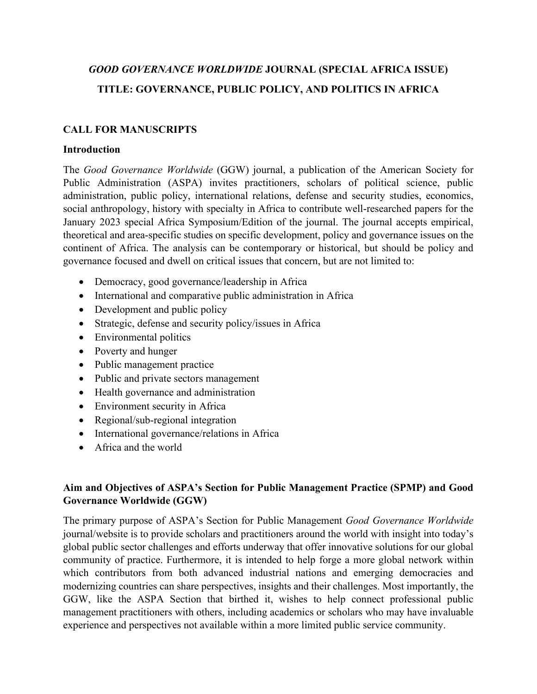# *GOOD GOVERNANCE WORLDWIDE* **JOURNAL (SPECIAL AFRICA ISSUE) TITLE: GOVERNANCE, PUBLIC POLICY, AND POLITICS IN AFRICA**

## **CALL FOR MANUSCRIPTS**

#### **Introduction**

The *Good Governance Worldwide* (GGW) journal, a publication of the American Society for Public Administration (ASPA) invites practitioners, scholars of political science, public administration, public policy, international relations, defense and security studies, economics, social anthropology, history with specialty in Africa to contribute well-researched papers for the January 2023 special Africa Symposium/Edition of the journal. The journal accepts empirical, theoretical and area-specific studies on specific development, policy and governance issues on the continent of Africa. The analysis can be contemporary or historical, but should be policy and governance focused and dwell on critical issues that concern, but are not limited to:

- Democracy, good governance/leadership in Africa
- International and comparative public administration in Africa
- Development and public policy
- Strategic, defense and security policy/issues in Africa
- Environmental politics
- Poverty and hunger
- Public management practice
- Public and private sectors management
- Health governance and administration
- Environment security in Africa
- Regional/sub-regional integration
- International governance/relations in Africa
- Africa and the world

## **Aim and Objectives of ASPA's Section for Public Management Practice (SPMP) and Good Governance Worldwide (GGW)**

The primary purpose of ASPA's Section for Public Management *Good Governance Worldwide* journal/website is to provide scholars and practitioners around the world with insight into today's global public sector challenges and efforts underway that offer innovative solutions for our global community of practice. Furthermore, it is intended to help forge a more global network within which contributors from both advanced industrial nations and emerging democracies and modernizing countries can share perspectives, insights and their challenges. Most importantly, the GGW, like the ASPA Section that birthed it, wishes to help connect professional public management practitioners with others, including academics or scholars who may have invaluable experience and perspectives not available within a more limited public service community.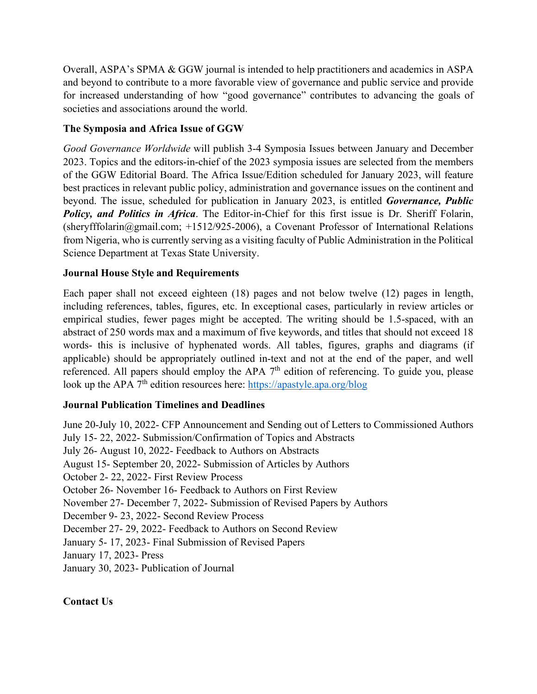Overall, ASPA's SPMA & GGW journal is intended to help practitioners and academics in ASPA and beyond to contribute to a more favorable view of governance and public service and provide for increased understanding of how "good governance" contributes to advancing the goals of societies and associations around the world.

## **The Symposia and Africa Issue of GGW**

*Good Governance Worldwide* will publish 3-4 Symposia Issues between January and December 2023. Topics and the editors-in-chief of the 2023 symposia issues are selected from the members of the GGW Editorial Board. The Africa Issue/Edition scheduled for January 2023, will feature best practices in relevant public policy, administration and governance issues on the continent and beyond. The issue, scheduled for publication in January 2023, is entitled *Governance, Public Policy, and Politics in Africa*. The Editor-in-Chief for this first issue is Dr. Sheriff Folarin, (sheryfffolarin@gmail.com; +1512/925-2006), a Covenant Professor of International Relations from Nigeria, who is currently serving as a visiting faculty of Public Administration in the Political Science Department at Texas State University.

## **Journal House Style and Requirements**

Each paper shall not exceed eighteen (18) pages and not below twelve (12) pages in length, including references, tables, figures, etc. In exceptional cases, particularly in review articles or empirical studies, fewer pages might be accepted. The writing should be 1.5-spaced, with an abstract of 250 words max and a maximum of five keywords, and titles that should not exceed 18 words- this is inclusive of hyphenated words. All tables, figures, graphs and diagrams (if applicable) should be appropriately outlined in-text and not at the end of the paper, and well referenced. All papers should employ the APA  $7<sup>th</sup>$  edition of referencing. To guide you, please look up the APA  $7<sup>th</sup>$  edition resources here: https://apastyle.apa.org/blog

## **Journal Publication Timelines and Deadlines**

June 20-July 10, 2022- CFP Announcement and Sending out of Letters to Commissioned Authors July 15- 22, 2022- Submission/Confirmation of Topics and Abstracts July 26- August 10, 2022- Feedback to Authors on Abstracts August 15- September 20, 2022- Submission of Articles by Authors October 2- 22, 2022- First Review Process October 26- November 16- Feedback to Authors on First Review November 27- December 7, 2022- Submission of Revised Papers by Authors December 9- 23, 2022- Second Review Process December 27- 29, 2022- Feedback to Authors on Second Review January 5- 17, 2023- Final Submission of Revised Papers January 17, 2023- Press January 30, 2023- Publication of Journal

## **Contact Us**